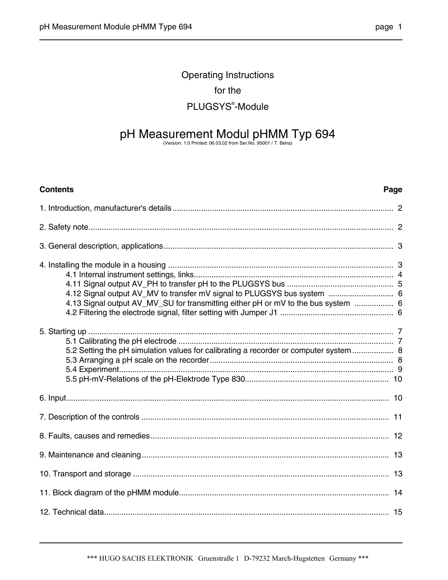## Operating Instructions for the PLUGSYS® -Module

# pH Measurement Modul pHMM Typ 694 (Version: 1.0 Printed: 06.03.02 from Ser.No. 95001 / T. Beha)

#### **Contents Page**

| 4.13 Signal output AV_MV_SU for transmitting either pH or mV to the bus system  6     |  |
|---------------------------------------------------------------------------------------|--|
| 5.2 Setting the pH simulation values for calibrating a recorder or computer system  8 |  |
|                                                                                       |  |
|                                                                                       |  |
|                                                                                       |  |
|                                                                                       |  |
|                                                                                       |  |
|                                                                                       |  |
|                                                                                       |  |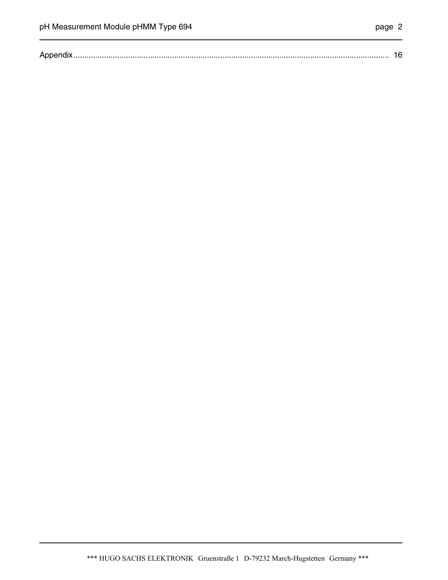|--|--|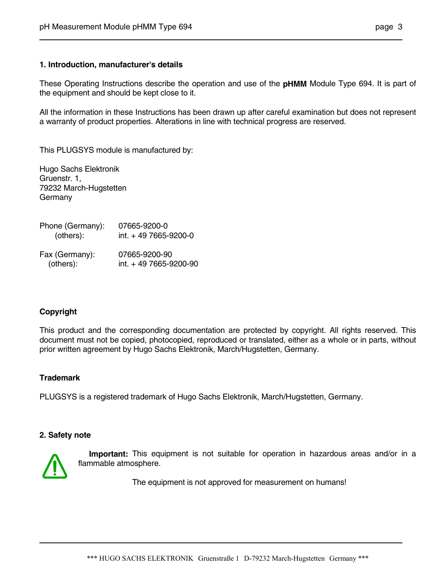#### **1. Introduction, manufacturer's details**

These Operating Instructions describe the operation and use of the **pHMM** Module Type 694. It is part of the equipment and should be kept close to it.

All the information in these Instructions has been drawn up after careful examination but does not represent a warranty of product properties. Alterations in line with technical progress are reserved.

This PLUGSYS module is manufactured by:

Hugo Sachs Elektronik Gruenstr. 1, 79232 March-Hugstetten Germany

| Phone (Germany): | 07665-9200-0           |
|------------------|------------------------|
| (others):        | int. + 49 7665-9200-0  |
| Fax (Germany):   | 07665-9200-90          |
| (others):        | int. + 49 7665-9200-90 |

#### **Copyright**

This product and the corresponding documentation are protected by copyright. All rights reserved. This document must not be copied, photocopied, reproduced or translated, either as a whole or in parts, without prior written agreement by Hugo Sachs Elektronik, March/Hugstetten, Germany.

#### **Trademark**

PLUGSYS is a registered trademark of Hugo Sachs Elektronik, March/Hugstetten, Germany.

#### **2. Safety note**



 **Important:** This equipment is not suitable for operation in hazardous areas and/or in a flammable atmosphere.

The equipment is not approved for measurement on humans!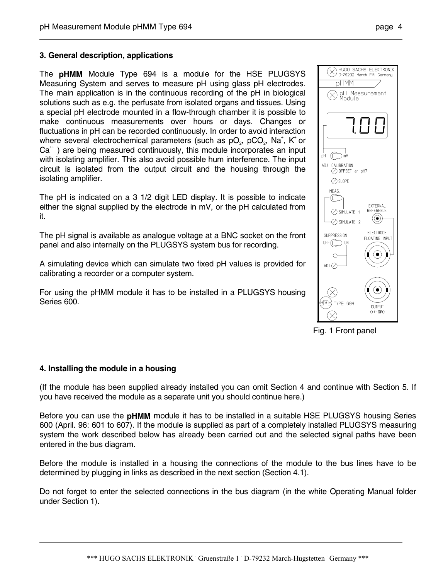The **pHMM** Module Type 694 is a module for the HSE PLUGSYS Measuring System and serves to measure pH using glass pH electrodes. The main application is in the continuous recording of the pH in biological solutions such as e.g. the perfusate from isolated organs and tissues. Using a special pH electrode mounted in a flow-through chamber it is possible to make continuous measurements over hours or days. Changes or fluctuations in pH can be recorded continuously. In order to avoid interaction where several electrochemical parameters (such as  $pO_2$ ,  $pCO_2$ , Na<sup>+</sup>, K<sup>+</sup> or  $Ca<sup>++</sup>$ ) are being measured continuously, this module incorporates an input with isolating amplifier. This also avoid possible hum interference. The input circuit is isolated from the output circuit and the housing through the isolating amplifier.

The pH is indicated on a 3 1/2 digit LED display. It is possible to indicate either the signal supplied by the electrode in mV, or the pH calculated from it.

The pH signal is available as analogue voltage at a BNC socket on the front panel and also internally on the PLUGSYS system bus for recording.

A simulating device which can simulate two fixed pH values is provided for calibrating a recorder or a computer system.

For using the pHMM module it has to be installed in a PLUGSYS housing Series 600.



Fig. 1 Front panel

#### **4. Installing the module in a housing**

(If the module has been supplied already installed you can omit Section 4 and continue with Section 5. If you have received the module as a separate unit you should continue here.)

Before you can use the **pHMM** module it has to be installed in a suitable HSE PLUGSYS housing Series 600 (April. 96: 601 to 607). If the module is supplied as part of a completely installed PLUGSYS measuring system the work described below has already been carried out and the selected signal paths have been entered in the bus diagram.

Before the module is installed in a housing the connections of the module to the bus lines have to be determined by plugging in links as described in the next section (Section 4.1).

Do not forget to enter the selected connections in the bus diagram (in the white Operating Manual folder under Section 1).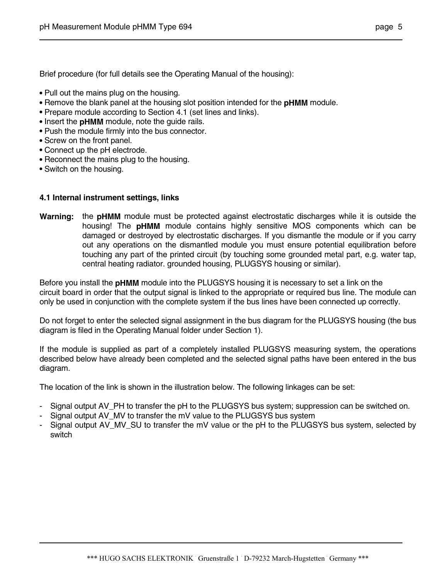Brief procedure (for full details see the Operating Manual of the housing):

- **•** Pull out the mains plug on the housing.
- **•** Remove the blank panel at the housing slot position intended for the **pHMM** module.
- Prepare module according to Section 4.1 (set lines and links).
- **•** Insert the **pHMM** module, note the guide rails.
- **•** Push the module firmly into the bus connector.
- **•** Screw on the front panel.
- **•** Connect up the pH electrode.
- **•** Reconnect the mains plug to the housing.
- **•** Switch on the housing.

#### **4.1 Internal instrument settings, links**

**Warning:** the **pHMM** module must be protected against electrostatic discharges while it is outside the housing! The **pHMM** module contains highly sensitive MOS components which can be damaged or destroyed by electrostatic discharges. If you dismantle the module or if you carry out any operations on the dismantled module you must ensure potential equilibration before touching any part of the printed circuit (by touching some grounded metal part, e.g. water tap, central heating radiator. grounded housing, PLUGSYS housing or similar).

Before you install the **pHMM** module into the PLUGSYS housing it is necessary to set a link on the circuit board in order that the output signal is linked to the appropriate or required bus line. The module can only be used in conjunction with the complete system if the bus lines have been connected up correctly.

Do not forget to enter the selected signal assignment in the bus diagram for the PLUGSYS housing (the bus diagram is filed in the Operating Manual folder under Section 1).

If the module is supplied as part of a completely installed PLUGSYS measuring system, the operations described below have already been completed and the selected signal paths have been entered in the bus diagram.

The location of the link is shown in the illustration below. The following linkages can be set:

- Signal output AV\_PH to transfer the pH to the PLUGSYS bus system; suppression can be switched on.
- Signal output AV MV to transfer the mV value to the PLUGSYS bus system
- Signal output AV\_MV\_SU to transfer the mV value or the pH to the PLUGSYS bus system, selected by switch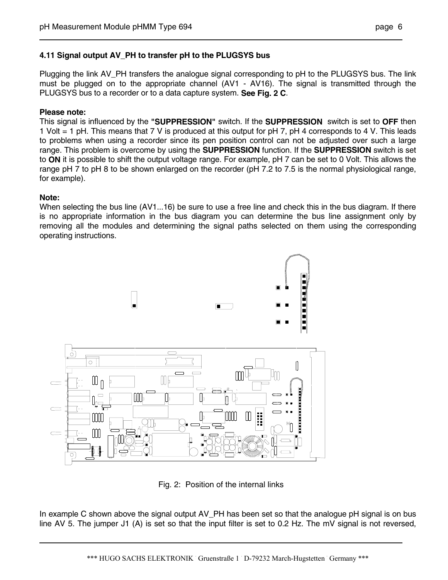#### **4.11 Signal output AV\_PH to transfer pH to the PLUGSYS bus**

Plugging the link AV. PH transfers the analogue signal corresponding to pH to the PLUGSYS bus. The link must be plugged on to the appropriate channel (AV1 - AV16). The signal is transmitted through the PLUGSYS bus to a recorder or to a data capture system. **See Fig. 2 C**.

#### **Please note:**

This signal is influenced by the **"SUPPRESSION"** switch. If the **SUPPRESSION** switch is set to **OFF** then 1 Volt = 1 pH. This means that 7 V is produced at this output for pH 7, pH 4 corresponds to 4 V. This leads to problems when using a recorder since its pen position control can not be adjusted over such a large range. This problem is overcome by using the **SUPPRESSION** function. If the **SUPPRESSION** switch is set to **ON** it is possible to shift the output voltage range. For example, pH 7 can be set to 0 Volt. This allows the range pH 7 to pH 8 to be shown enlarged on the recorder (pH 7.2 to 7.5 is the normal physiological range, for example).

#### **Note:**

When selecting the bus line (AV1...16) be sure to use a free line and check this in the bus diagram. If there is no appropriate information in the bus diagram you can determine the bus line assignment only by removing all the modules and determining the signal paths selected on them using the corresponding operating instructions.



Fig. 2: Position of the internal links

In example C shown above the signal output AV\_PH has been set so that the analogue pH signal is on bus line AV 5. The jumper J1 (A) is set so that the input filter is set to 0.2 Hz. The mV signal is not reversed,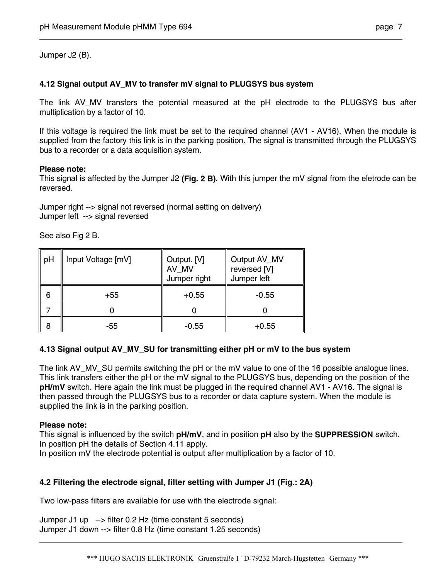Jumper J2 (B).

#### **4.12 Signal output AV\_MV to transfer mV signal to PLUGSYS bus system**

The link AV MV transfers the potential measured at the pH electrode to the PLUGSYS bus after multiplication by a factor of 10.

If this voltage is required the link must be set to the required channel (AV1 - AV16). When the module is supplied from the factory this link is in the parking position. The signal is transmitted through the PLUGSYS bus to a recorder or a data acquisition system.

#### **Please note:**

This signal is affected by the Jumper J2 **(Fig. 2 B)**. With this jumper the mV signal from the eletrode can be reversed.

Jumper right --> signal not reversed (normal setting on delivery) Jumper left --> signal reversed

See also Fig 2 B.

| pH | Input Voltage [mV] | Output. [V]<br>AV_MV<br>Jumper right | Output AV_MV<br>reversed [V]<br>Jumper left |
|----|--------------------|--------------------------------------|---------------------------------------------|
| 6  | +55                | $+0.55$                              | $-0.55$                                     |
|    |                    |                                      |                                             |
| 8  | -55                | $-0.55$                              | $+0.55$                                     |

#### **4.13 Signal output AV\_MV\_SU for transmitting either pH or mV to the bus system**

The link AV\_MV\_SU permits switching the pH or the mV value to one of the 16 possible analogue lines. This link transfers either the pH or the mV signal to the PLUGSYS bus, depending on the position of the **pH/mV** switch. Here again the link must be plugged in the required channel AV1 - AV16. The signal is then passed through the PLUGSYS bus to a recorder or data capture system. When the module is supplied the link is in the parking position.

#### **Please note:**

This signal is influenced by the switch **pH/mV**, and in position **pH** also by the **SUPPRESSION** switch. In position pH the details of Section 4.11 apply.

In position mV the electrode potential is output after multiplication by a factor of 10.

#### **4.2 Filtering the electrode signal, filter setting with Jumper J1 (Fig.: 2A)**

Two low-pass filters are available for use with the electrode signal:

Jumper J1 up --> filter 0.2 Hz (time constant 5 seconds) Jumper J1 down --> filter 0.8 Hz (time constant 1.25 seconds)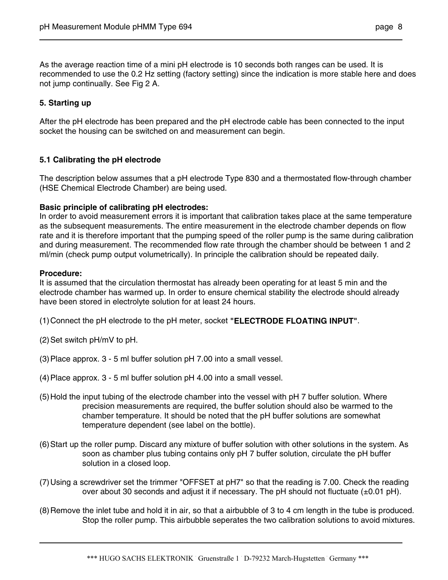As the average reaction time of a mini pH electrode is 10 seconds both ranges can be used. It is recommended to use the 0.2 Hz setting (factory setting) since the indication is more stable here and does not jump continually. See Fig 2 A.

#### **5. Starting up**

After the pH electrode has been prepared and the pH electrode cable has been connected to the input socket the housing can be switched on and measurement can begin.

#### **5.1 Calibrating the pH electrode**

The description below assumes that a pH electrode Type 830 and a thermostated flow-through chamber (HSE Chemical Electrode Chamber) are being used.

#### **Basic principle of calibrating pH electrodes:**

In order to avoid measurement errors it is important that calibration takes place at the same temperature as the subsequent measurements. The entire measurement in the electrode chamber depends on flow rate and it is therefore important that the pumping speed of the roller pump is the same during calibration and during measurement. The recommended flow rate through the chamber should be between 1 and 2 ml/min (check pump output volumetrically). In principle the calibration should be repeated daily.

#### **Procedure:**

It is assumed that the circulation thermostat has already been operating for at least 5 min and the electrode chamber has warmed up. In order to ensure chemical stability the electrode should already have been stored in electrolyte solution for at least 24 hours.

(1) Connect the pH electrode to the pH meter, socket **"ELECTRODE FLOATING INPUT"**.

- (2) Set switch pH/mV to pH.
- (3) Place approx. 3 5 ml buffer solution pH 7.00 into a small vessel.
- (4) Place approx. 3 5 ml buffer solution pH 4.00 into a small vessel.
- (5) Hold the input tubing of the electrode chamber into the vessel with pH 7 buffer solution. Where precision measurements are required, the buffer solution should also be warmed to the chamber temperature. It should be noted that the pH buffer solutions are somewhat temperature dependent (see label on the bottle).
- (6) Start up the roller pump. Discard any mixture of buffer solution with other solutions in the system. As soon as chamber plus tubing contains only pH 7 buffer solution, circulate the pH buffer solution in a closed loop.
- (7) Using a screwdriver set the trimmer "OFFSET at pH7" so that the reading is 7.00. Check the reading over about 30 seconds and adjust it if necessary. The pH should not fluctuate (±0.01 pH).
- (8) Remove the inlet tube and hold it in air, so that a airbubble of 3 to 4 cm length in the tube is produced. Stop the roller pump. This airbubble seperates the two calibration solutions to avoid mixtures.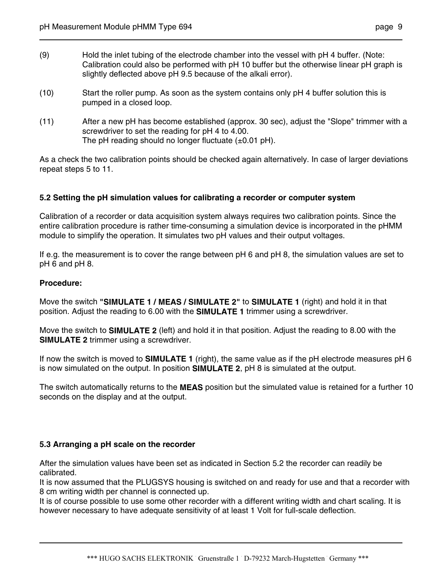- (9) Hold the inlet tubing of the electrode chamber into the vessel with pH 4 buffer. (Note: Calibration could also be performed with pH 10 buffer but the otherwise linear pH graph is slightly deflected above pH 9.5 because of the alkali error).
- (10) Start the roller pump. As soon as the system contains only pH 4 buffer solution this is pumped in a closed loop.
- (11) After a new pH has become established (approx. 30 sec), adjust the "Slope" trimmer with a screwdriver to set the reading for pH 4 to 4.00. The pH reading should no longer fluctuate  $(\pm 0.01 \text{ pH})$ .

As a check the two calibration points should be checked again alternatively. In case of larger deviations repeat steps 5 to 11.

#### **5.2 Setting the pH simulation values for calibrating a recorder or computer system**

Calibration of a recorder or data acquisition system always requires two calibration points. Since the entire calibration procedure is rather time-consuming a simulation device is incorporated in the pHMM module to simplify the operation. It simulates two pH values and their output voltages.

If e.g. the measurement is to cover the range between pH 6 and pH 8, the simulation values are set to pH 6 and pH 8.

#### **Procedure:**

Move the switch **"SIMULATE 1 / MEAS / SIMULATE 2"** to **SIMULATE 1** (right) and hold it in that position. Adjust the reading to 6.00 with the **SIMULATE 1** trimmer using a screwdriver.

Move the switch to **SIMULATE 2** (left) and hold it in that position. Adjust the reading to 8.00 with the **SIMULATE 2** trimmer using a screwdriver.

If now the switch is moved to **SIMULATE 1** (right), the same value as if the pH electrode measures pH 6 is now simulated on the output. In position **SIMULATE 2**, pH 8 is simulated at the output.

The switch automatically returns to the **MEAS** position but the simulated value is retained for a further 10 seconds on the display and at the output.

#### **5.3 Arranging a pH scale on the recorder**

After the simulation values have been set as indicated in Section 5.2 the recorder can readily be calibrated.

It is now assumed that the PLUGSYS housing is switched on and ready for use and that a recorder with 8 cm writing width per channel is connected up.

It is of course possible to use some other recorder with a different writing width and chart scaling. It is however necessary to have adequate sensitivity of at least 1 Volt for full-scale deflection.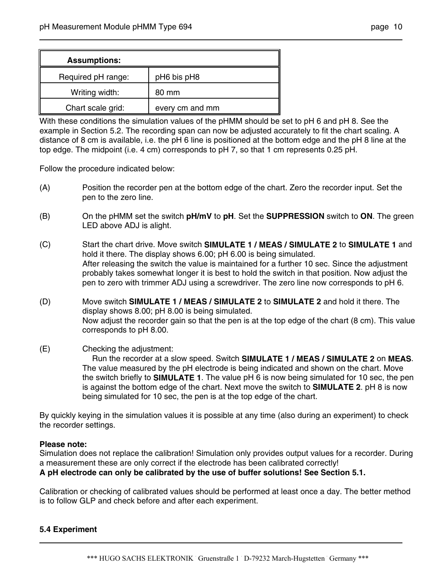| <b>Assumptions:</b> |                 |
|---------------------|-----------------|
| Required pH range:  | pH6 bis pH8     |
| Writing width:      | 80 mm           |
| Chart scale grid:   | every cm and mm |

With these conditions the simulation values of the pHMM should be set to pH 6 and pH 8. See the example in Section 5.2. The recording span can now be adjusted accurately to fit the chart scaling. A distance of 8 cm is available, i.e. the pH 6 line is positioned at the bottom edge and the pH 8 line at the top edge. The midpoint (i.e. 4 cm) corresponds to pH 7, so that 1 cm represents 0.25 pH.

Follow the procedure indicated below:

- (A) Position the recorder pen at the bottom edge of the chart. Zero the recorder input. Set the pen to the zero line.
- (B) On the pHMM set the switch **pH/mV** to **pH**. Set the **SUPPRESSION** switch to **ON**. The green LED above ADJ is alight.
- (C) Start the chart drive. Move switch **SIMULATE 1 / MEAS / SIMULATE 2** to **SIMULATE 1** and hold it there. The display shows 6.00; pH 6.00 is being simulated. After releasing the switch the value is maintained for a further 10 sec. Since the adjustment probably takes somewhat longer it is best to hold the switch in that position. Now adjust the pen to zero with trimmer ADJ using a screwdriver. The zero line now corresponds to pH 6.
- (D) Move switch **SIMULATE 1 / MEAS / SIMULATE 2** to **SIMULATE 2** and hold it there. The display shows 8.00; pH 8.00 is being simulated. Now adjust the recorder gain so that the pen is at the top edge of the chart (8 cm). This value corresponds to pH 8.00.

#### (E) Checking the adjustment:

 Run the recorder at a slow speed. Switch **SIMULATE 1 / MEAS / SIMULATE 2** on **MEAS**. The value measured by the pH electrode is being indicated and shown on the chart. Move the switch briefly to **SIMULATE 1**. The value pH 6 is now being simulated for 10 sec, the pen is against the bottom edge of the chart. Next move the switch to **SIMULATE 2**. pH 8 is now being simulated for 10 sec, the pen is at the top edge of the chart.

By quickly keying in the simulation values it is possible at any time (also during an experiment) to check the recorder settings.

#### **Please note:**

Simulation does not replace the calibration! Simulation only provides output values for a recorder. During a measurement these are only correct if the electrode has been calibrated correctly!

#### **A pH electrode can only be calibrated by the use of buffer solutions! See Section 5.1.**

Calibration or checking of calibrated values should be performed at least once a day. The better method is to follow GLP and check before and after each experiment.

#### **5.4 Experiment**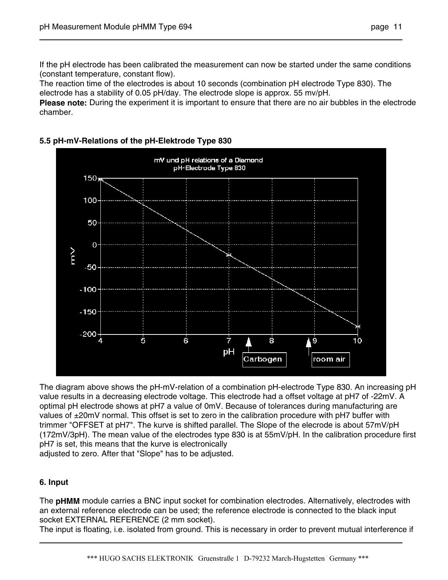If the pH electrode has been calibrated the measurement can now be started under the same conditions (constant temperature, constant flow).

The reaction time of the electrodes is about 10 seconds (combination pH electrode Type 830). The electrode has a stability of 0.05 pH/day. The electrode slope is approx. 55 mv/pH.

**Please note:** During the experiment it is important to ensure that there are no air bubbles in the electrode chamber.

#### **5.5 pH-mV-Relations of the pH-Elektrode Type 830**



The diagram above shows the pH-mV-relation of a combination pH-electrode Type 830. An increasing pH value results in a decreasing electrode voltage. This electrode had a offset voltage at pH7 of -22mV. A optimal pH electrode shows at pH7 a value of 0mV. Because of tolerances during manufacturing are values of ±20mV normal. This offset is set to zero in the calibration procedure with pH7 buffer with trimmer "OFFSET at pH7". The kurve is shifted parallel. The Slope of the elecrode is about 57mV/pH (172mV/3pH). The mean value of the electrodes type 830 is at 55mV/pH. In the calibration procedure first pH7 is set, this means that the kurve is electronically

adjusted to zero. After that "Slope" has to be adjusted.

#### **6. Input**

The **pHMM** module carries a BNC input socket for combination electrodes. Alternatively, electrodes with an external reference electrode can be used; the reference electrode is connected to the black input socket EXTERNAL REFERENCE (2 mm socket).

The input is floating, i.e. isolated from ground. This is necessary in order to prevent mutual interference if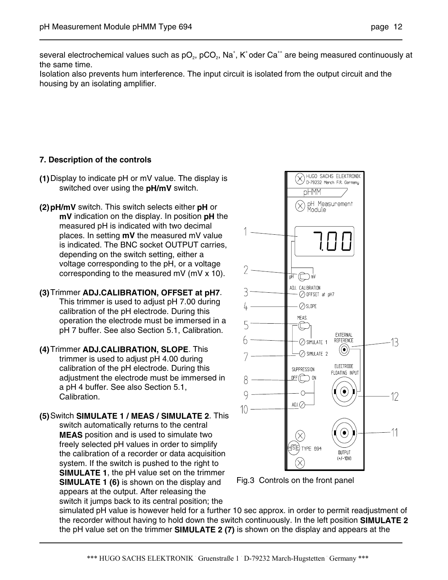several electrochemical values such as pO<sub>2</sub>, pCO<sub>2</sub>, Na<sup>+</sup>, K<sup>+</sup>oder Ca<sup>++</sup> are being measured continuously at the same time.

Isolation also prevents hum interference. The input circuit is isolated from the output circuit and the housing by an isolating amplifier.

#### **7. Description of the controls**

- **(1)** Display to indicate pH or mV value. The display is switched over using the **pH/mV** switch.
- **(2) pH/mV** switch. This switch selects either **pH** or **mV** indication on the display. In position **pH** the measured pH is indicated with two decimal places. In setting **mV** the measured mV value is indicated. The BNC socket OUTPUT carries, depending on the switch setting, either a voltage corresponding to the pH, or a voltage corresponding to the measured mV (mV x 10).
- **(3)** Trimmer **ADJ.CALIBRATION, OFFSET at pH7**. This trimmer is used to adjust pH 7.00 during calibration of the pH electrode. During this operation the electrode must be immersed in a pH 7 buffer. See also Section 5.1, Calibration.
- **(4)** Trimmer **ADJ.CALIBRATION, SLOPE**. This trimmer is used to adjust pH 4.00 during calibration of the pH electrode. During this adjustment the electrode must be immersed in a pH 4 buffer. See also Section 5.1, Calibration.

**(5)** Switch **SIMULATE 1 / MEAS / SIMULATE 2**. This switch automatically returns to the central **MEAS** position and is used to simulate two freely selected pH values in order to simplify the calibration of a recorder or data acquisition system. If the switch is pushed to the right to **SIMULATE 1**, the pH value set on the trimmer **SIMULATE 1 (6)** is shown on the display and appears at the output. After releasing the switch it jumps back to its central position; the



Fig.3 Controls on the front panel

simulated pH value is however held for a further 10 sec approx. in order to permit readjustment of the recorder without having to hold down the switch continuously. In the left position **SIMULATE 2** the pH value set on the trimmer **SIMULATE 2 (7)** is shown on the display and appears at the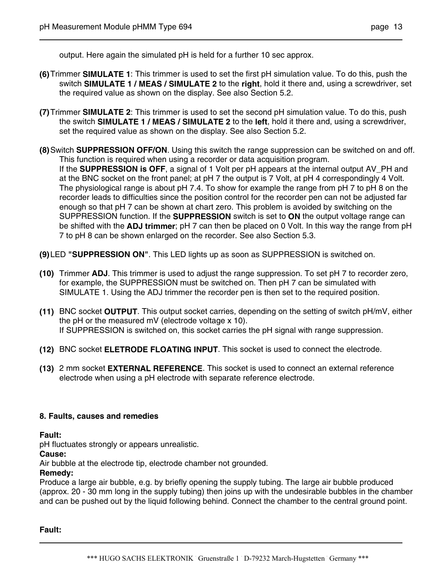output. Here again the simulated pH is held for a further 10 sec approx.

- **(6)** Trimmer **SIMULATE 1**: This trimmer is used to set the first pH simulation value. To do this, push the switch **SIMULATE 1 / MEAS / SIMULATE 2** to the **right**, hold it there and, using a screwdriver, set the required value as shown on the display. See also Section 5.2.
- **(7)** Trimmer **SIMULATE 2**: This trimmer is used to set the second pH simulation value. To do this, push the switch **SIMULATE 1 / MEAS / SIMULATE 2** to the **left**, hold it there and, using a screwdriver, set the required value as shown on the display. See also Section 5.2.
- **(8)** Switch **SUPPRESSION OFF/ON**. Using this switch the range suppression can be switched on and off. This function is required when using a recorder or data acquisition program. If the **SUPPRESSION is OFF**, a signal of 1 Volt per pH appears at the internal output AV\_PH and at the BNC socket on the front panel; at pH 7 the output is 7 Volt, at pH 4 correspondingly 4 Volt. The physiological range is about pH 7.4. To show for example the range from pH 7 to pH 8 on the recorder leads to difficulties since the position control for the recorder pen can not be adjusted far enough so that pH 7 can be shown at chart zero. This problem is avoided by switching on the SUPPRESSION function. If the **SUPPRESSION** switch is set to **ON** the output voltage range can be shifted with the **ADJ trimmer**; pH 7 can then be placed on 0 Volt. In this way the range from pH 7 to pH 8 can be shown enlarged on the recorder. See also Section 5.3.
- **(9)** LED **"SUPPRESSION ON"**. This LED lights up as soon as SUPPRESSION is switched on.
- **(10)** Trimmer **ADJ**. This trimmer is used to adjust the range suppression. To set pH 7 to recorder zero, for example, the SUPPRESSION must be switched on. Then pH 7 can be simulated with SIMULATE 1. Using the ADJ trimmer the recorder pen is then set to the required position.
- **(11)** BNC socket **OUTPUT**. This output socket carries, depending on the setting of switch pH/mV, either the pH or the measured mV (electrode voltage x 10). If SUPPRESSION is switched on, this socket carries the pH signal with range suppression.
- **(12)** BNC socket **ELETRODE FLOATING INPUT**. This socket is used to connect the electrode.
- **(13)** 2 mm socket **EXTERNAL REFERENCE**. This socket is used to connect an external reference electrode when using a pH electrode with separate reference electrode.

#### **8. Faults, causes and remedies**

**Fault:** 

pH fluctuates strongly or appears unrealistic.

**Cause:**

Air bubble at the electrode tip, electrode chamber not grounded.

#### **Remedy:**

Produce a large air bubble, e.g. by briefly opening the supply tubing. The large air bubble produced (approx. 20 - 30 mm long in the supply tubing) then joins up with the undesirable bubbles in the chamber and can be pushed out by the liquid following behind. Connect the chamber to the central ground point.

**Fault:**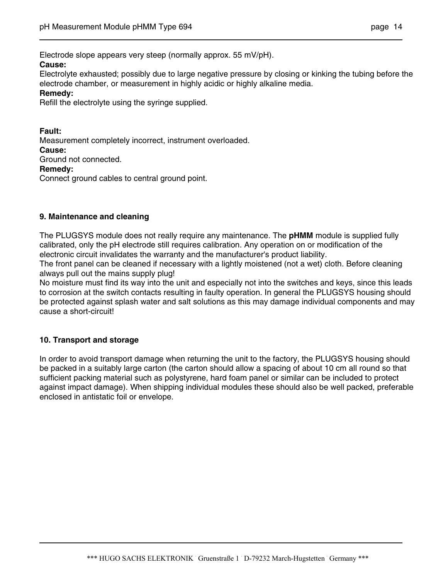Electrode slope appears very steep (normally approx. 55 mV/pH).

#### **Cause:**

Electrolyte exhausted; possibly due to large negative pressure by closing or kinking the tubing before the electrode chamber, or measurement in highly acidic or highly alkaline media.

#### **Remedy:**

Refill the electrolyte using the syringe supplied.

**Fault:** Measurement completely incorrect, instrument overloaded. **Cause:** Ground not connected.

**Remedy:**

Connect ground cables to central ground point.

#### **9. Maintenance and cleaning**

The PLUGSYS module does not really require any maintenance. The **pHMM** module is supplied fully calibrated, only the pH electrode still requires calibration. Any operation on or modification of the electronic circuit invalidates the warranty and the manufacturer's product liability.

The front panel can be cleaned if necessary with a lightly moistened (not a wet) cloth. Before cleaning always pull out the mains supply plug!

No moisture must find its way into the unit and especially not into the switches and keys, since this leads to corrosion at the switch contacts resulting in faulty operation. In general the PLUGSYS housing should be protected against splash water and salt solutions as this may damage individual components and may cause a short-circuit!

#### **10. Transport and storage**

In order to avoid transport damage when returning the unit to the factory, the PLUGSYS housing should be packed in a suitably large carton (the carton should allow a spacing of about 10 cm all round so that sufficient packing material such as polystyrene, hard foam panel or similar can be included to protect against impact damage). When shipping individual modules these should also be well packed, preferable enclosed in antistatic foil or envelope.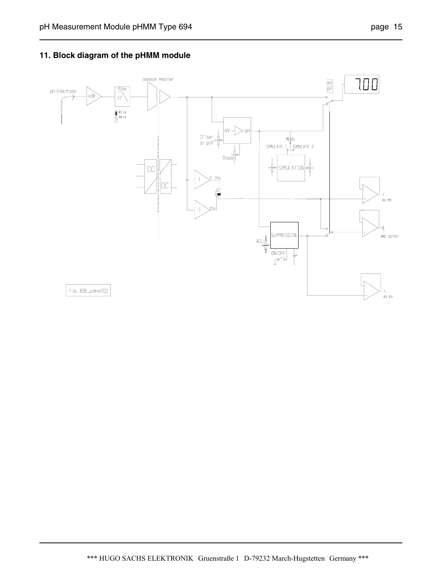### **11. Block diagram of the pHMM module**

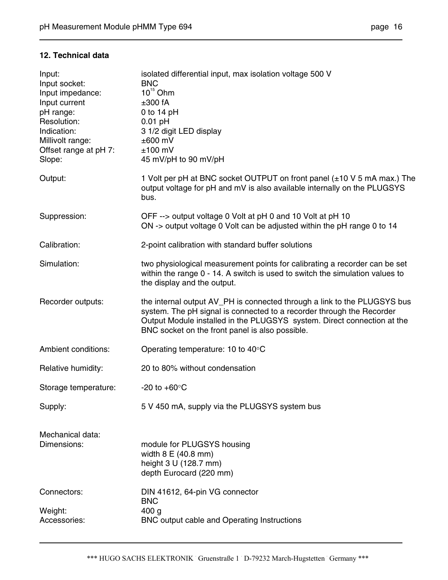#### **12. Technical data**

| Input:<br>Input socket:<br>Input impedance:<br>Input current<br>pH range:<br>Resolution:<br>Indication:<br>Millivolt range:<br>Offset range at pH 7:<br>Slope: | isolated differential input, max isolation voltage 500 V<br><b>BNC</b><br>$10^{15}$ Ohm<br>±300 fA<br>0 to $14$ pH<br>$0.01$ pH<br>3 1/2 digit LED display<br>$±600$ mV<br>$±100$ mV<br>45 mV/pH to 90 mV/pH                                                                    |
|----------------------------------------------------------------------------------------------------------------------------------------------------------------|---------------------------------------------------------------------------------------------------------------------------------------------------------------------------------------------------------------------------------------------------------------------------------|
| Output:                                                                                                                                                        | 1 Volt per pH at BNC socket OUTPUT on front panel (±10 V 5 mA max.) The<br>output voltage for pH and mV is also available internally on the PLUGSYS<br>bus.                                                                                                                     |
| Suppression:                                                                                                                                                   | OFF --> output voltage 0 Volt at pH 0 and 10 Volt at pH 10<br>ON -> output voltage 0 Volt can be adjusted within the pH range 0 to 14                                                                                                                                           |
| Calibration:                                                                                                                                                   | 2-point calibration with standard buffer solutions                                                                                                                                                                                                                              |
| Simulation:                                                                                                                                                    | two physiological measurement points for calibrating a recorder can be set<br>within the range 0 - 14. A switch is used to switch the simulation values to<br>the display and the output.                                                                                       |
| Recorder outputs:                                                                                                                                              | the internal output AV_PH is connected through a link to the PLUGSYS bus<br>system. The pH signal is connected to a recorder through the Recorder<br>Output Module installed in the PLUGSYS system. Direct connection at the<br>BNC socket on the front panel is also possible. |
| Ambient conditions:                                                                                                                                            | Operating temperature: 10 to 40°C                                                                                                                                                                                                                                               |
| Relative humidity:                                                                                                                                             | 20 to 80% without condensation                                                                                                                                                                                                                                                  |
| Storage temperature:                                                                                                                                           | -20 to $+60^{\circ}$ C                                                                                                                                                                                                                                                          |
| Supply:                                                                                                                                                        | 5 V 450 mA, supply via the PLUGSYS system bus                                                                                                                                                                                                                                   |
| Mechanical data:<br>Dimensions:                                                                                                                                | module for PLUGSYS housing<br>width 8 E (40.8 mm)<br>height 3 U (128.7 mm)<br>depth Eurocard (220 mm)                                                                                                                                                                           |
| Connectors:                                                                                                                                                    | DIN 41612, 64-pin VG connector<br><b>BNC</b>                                                                                                                                                                                                                                    |
| Weight:<br>Accessories:                                                                                                                                        | 400 <sub>g</sub><br>BNC output cable and Operating Instructions                                                                                                                                                                                                                 |